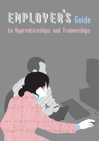

# to Apprenticeships and Traineeships

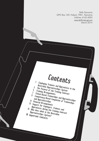Skills Tasmania GPO Box 169, Hobart, 7001, Tasmania Infoline: 6165 6055 www.skills.tas.gov.au March 2014

 $\mathcal{L}$  on  $\mathcal{L}_{\mathcal{S}}$ <br>*Contenting Trainees and Apprentices in the*<br>*3* The Purse of Apprenticeships Sustain the Australian Apprenticeships System 3 The Purpose of the Training System<br>5 Training Arrangement of the Training Contract 5 Training Arrangements<br>7 School-Based Trains <sup>11 anning</sup> in rangomones<br>School-Based Traineeships and Apprenticeships Competency-Based Completion of Traineeships and Apprenticeships <sup>11</sup> Financial Arrangements <sup>13</sup> Support for Employers, Trainees and Apprentices during the Training Contract <sup>15</sup> Who does what in the Australian Apprenticeships System? <sup>18</sup> Important Contacts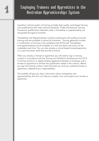

### Employing Trainees and Apprentices in the Australian Apprenticeships System

Australia's national system of training provides high quality, work-based training with qualifications that meet national standards. Under the National Training Framework qualifications obtained under a traineeship or apprenticeship are recognised throughout Australia.

Traineeships and Apprenticeships combine employment with quality structured training and are available in almost all industries. Training generally involves a combination of training in the workplace and off-the-job. Traineeships and apprenticeships are all available on a full-time basis and many can be undertaken part-time. You can also employ a school-based trainee/apprentice on a part-time basis while they are still at school.

When you employ a trainee or apprentice you will need to sign a training contract in accordance with the *Training and Workforce Development Act 2013*. A training contract is a legally binding agreement between an employer and a trainee or apprentice to achieve the qualification stated in the contract. Before you sign the training contract check that both you and your potential trainee or apprentice understand your responsibilities.

This booklet will give you basic information about traineeships and apprenticeships and who can help you employ, train and support your trainee or apprentice.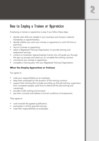

### How to Employ a Trainee or Apprentice

Employing a trainee or apprentice is easy if you follow these steps:

- decide what skills are needed in your business and choose a relevant traineeship or apprenticeship;
- decide whether you want your trainee or apprentice to work full-time or part-time;
- recruit a trainee or apprentice;
- select a Registered Training Organisation to provide training and assessment services;
- contact an Australian Apprenticeships Centre who will guide you through the sign-up process and assist you to complete the training contract;
- commence your trainee or apprentice;
- complete a training plan with your Registered Training Organisation.

#### **When You Employ Apprentices or Trainees**

You aaree to:

- meet your responsibilities as an employer;
- keep them employed for the duration of the training contract;
- • support their training (this includes providing on-the-job training, supervision from competent people, paid time to attend off-the-job training and mentoring);
- provide a safe working environment;
- pay them correctly and adhere to formal conditions of employment.

They agree to:

- work towards the agreed qualification;
- participate in all the required training;
- meet their responsibilities as employees.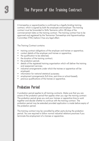

### The Purpose of the Training Contract

A traineeship or apprenticeship is confirmed by a legally binding training contract, which is signed by both the employee and employer. The training contract must be forwarded to Skills Tasmania within 28 days of the commencement date on the training contract. The training contract has to be approved and registered by the Tasmanian Traineeships and Apprenticeships Committee (TTAC) before it has any legal effect.

The Training Contract contains:

- training contract obligations of the employer and trainee or apprentice;
- contact details of the employer and trainee or apprentice;
- the qualification to be obtained;
- the duration of the training contract;
- the probation period;
- details of the registered training organisation which will deliver the training and assessment services;
- industrial arrangements under which the trainee or apprentice will be employed;
- information for national statistical purposes;
- employment arrangements (full-time, part-time or school-based);
- previous qualifications of the trainee or apprentice.

### Probation Period

A probation period applies to all training contracts. Make sure that you are aware of the probation period that applies when you sign the training contract. The probation period gives you and your trainee or apprentice time to work together and decide whether to continue with the training contract. The probation period may be extended provided application is made before expiry of the probation period.

The training contract may be cancelled by either party during the probation period. You are required to follow normal industrial relations practices if you terminate the employment of a trainee or apprentice.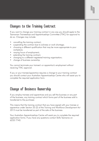

### Changes to the Training Contract

If you want to change your training contract in any way you should apply to the Tasmanian Traineeships and Apprenticeships Committee (TTAC) for approval to do so. Changes may include:

- cancelling the training contract;
- suspending the contract due to sickness or work shortage;
- choosing a different qualification that may be more appropriate to your workplace;
- varying hours of employment;
- extending the training contract;
- changing to a different registered training organisation;
- change of business ownership.

You cannot terminate your trainee's or apprentice's employment without receiving TTAC approval.

If you or your trainee/apprentice requires a change to your training contract you should contact your Australian Apprenticeships Centre who will assist you to complete the required application form.

### Change of Business Ownership

If you employ trainees and apprentices and you sell the business or any part of the business, any training contract which forms part of the business sold is transferred to the purchaser.

This means that the training contract that you have signed with your trainee or apprentice under Section 33 (2) of the *Training and Workforce Development Act 2013* must be transferred as part of the sale of the business.

Your Australian Apprenticeships Centre will assist you to complete the required application forms. If you have any questions contact Skills Tasmania on 6233 7740.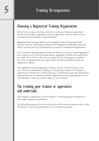### Choosing a Registered Training Organisation

By the time you sign a training contract you and your trainee or apprentice should have chosen a registered training organisation who will work with you throughout the traineeship or apprenticeship.

Registered training organisations are required to meet the Australian Skills Quality Authority; Standards for National VET Regulator (NVR) before they are able to provide training and assessment services for trainees and apprentices.

Your Australian Apprenticeships Centre can help you and your trainee/apprentice by providing a list of training organisations registered to deliver the qualification you need. If you'd like to do your own research, the training.gov.au website has a list of registered training organisations and the qualifications they are registered to deliver.

The registered training organisation that you choose will work with you and your trainee or apprentice to develop a training plan, assess your trainee's or apprentice's achievement of skills and issue a qualification when the qualification requirements are successfully achieved. Registered training organisations will try to be flexible to meet any special needs for your situation.

### The training your trainee or apprentice will undertake

Your trainee or apprentice will be enrolled in a training program leading to a nationally recognised qualification.

You should be aware of the nominal duration of the training contract which is the timeframe in which the qualification can normally be achieved.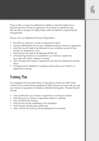

There is often a range of qualifications suitable to meet the needs of your business and your trainee or apprentice. Your trainee or apprentice may also be able to progress to higher levels under traineeship or apprenticeship arrangements.

Discuss with your Registered Training Organisation:

- the skills you need your trainee or apprentice to learn
- training methods that will suit your workplace and your trainee or apprentice
- what training will need to be delivered in your workplace as part of your trainee's or apprentice's work
- what training will need to be delivered off-the-job
- what learning assistance is available for your trainee or apprentice (e.g. help with maths, reading or writing)
- who will assess the trainee or apprentice and when the assessment will take place
- arrangements for feedback or progress reports about your trainee's or apprentice's training.

### Training Plan

Your registered training organisation is required to contact you within three months of the contract being registered by Skills Tasmania to work with you and your trainee or apprentice to develop a detailed training plan. The plan should include:

- what qualification your trainee or apprentice is working to achieve
- what training your trainee or apprentice needs to undertake
- who will deliver the training
- what training will be undertaken in the workplace
- what training will take place off-the-job
- when and how the training will be assessed and monitored.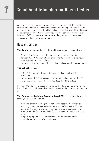

## School-Based Traineeships and Apprenticeships

A school-based traineeship or apprenticeship allows year 10, 11 and 12 students to undertake a vocational education and training (VET) qualification as a trainee or apprentice while still attending school. The school-based trainee or apprentice will attend school, study towards the Tasmanian Certificate of Education (TCE), at the same time as undertaking a nationally recognised qualification while in paid employment.

### Responsibilities

**The Employer** ensures the school based trainee/apprentice undertakes:

- Between 7.5 -15 hours of paid employment per week in term time
- Between 720 900 hours of paid employment per year, i.e. extra hours are worked in the school holidays
- Hours of work are negotiated between the employer and trainee/apprentice

#### **The School** ensures:

- 600 800 hours of TCE study at school or college each year in year 11 or 12
- • Normally 3 or 4 TCE subjects per year are undertaken in year 11 or 12
- Timetables are negotiated between the student and the college.

For year 10 students, the school will organise their timetable on an individual basis. Students should be enrolled in core subjects and only some electives, not all.

**The Registered Training Organisation (RTO)** ensures the school-based trainee/apprentice undertakes:

- A training program leading into a nationally recognised qualification.
- A training plan that is negotiated with the trainee/apprentice, RTO and employer. The training plan specifies training to be undertaken in the workplace and off-the-job and clarifies the training expectations of each party.
- A report is prepared in July for the school on the progress of the school-based traineeship/apprenticeship.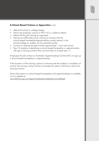

#### **A School-Based Trainee or Apprentice** must:

- Attend all school or college classes
- Inform the employer, school or RTO if ill or unable to attend.
- Attend off-the-job training as organised.
- • Discuss any difficulties (work, training or school) with the school-based traineeship/apprenticeship contact person in the school/college so matters can be resolved quickly.
- Commit to making the best of both opportunities work and school.
- Year 10 students undertaking a school-based traineeship or apprenticeship will sign a training contract that commits them to at least year 11.

Employers should contact an Australian Apprenticeships Centre (AAC) to sign-up a school-based traineeship or apprenticeship.

If the duration of the training contract continues past the student's completion of school, the training contract will be converted into either a full-time or part-time training contract.

More information on school-based traineeships and apprenticeships is available on our website at:

www.skills.tas.gov.au/apprenticeshipstraineeships/schoolbased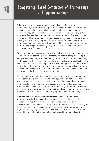

### Competency-Based Completion of Traineeships and Apprenticeships

When you and your trainee/apprentice enter into a traineeship or apprenticeship, the contract will require an estimated duration which is referred to as the "nominal duration". It is only an indication of the time your trainee or apprentice may take to complete the qualification. Your trainee or apprentice may either finish earlier than this time or it may take longer. The length of the contract will differ from person to person based on previous experience, previous training and how quickly they learn the skills needed for the traineeship or apprenticeship. These requirements are outlined by the Tasmanian Traineeships and Apprenticeships Committee (TTAC) *Guideline 10 - Competency-Based Completion of Traineeships and Apprenticeships*.

Your registered training organisation will work closely with you and your trainee/ apprentice at the beginning of the traineeship or apprenticeship to develop a comprehensive training plan. The training plan will clearly map out the training and assessment that will need to be undertaken to achieve the qualification. It is very important that this training plan is reviewed and updated on a regular basis during the contract period and that you and your trainee/apprentice are aware of when and how they will be trained and assessed and if this will take place onthe-job or off-the-job or a combination of both.

If your trainee/apprentice is assessed as competent by your registered training organisation and either you or your trainee/apprentice do not believe they are competent to do this work, it is very important that you and your trainee/ apprentice talk to your assessor and discuss why you don't feel your trainee/ apprentice has the skills yet. Your assessor can then go through the assessment decision with you and your trainee/apprentice and see if there are any skills gaps against the unit of competency and, if so, organise some more training.

Near the end of the traineeship/apprenticeship your registered training organisation will advise you and your trainee/apprentice that the final assessment is due. Once the final assessment has been completed and your trainee/apprentice is deemed competent, your trainee/apprentice will be eligible to receive their full qualification from the registered training organisation. Your registered training organisation will notify Skills Tasmania of their completion date which will automatically complete the traineeship or apprenticeship.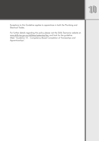

Exceptions to this Guideline applies to apprentices in both the Plumbing and Electrical Trades.

For further details regarding this policy please visit the Skills Tasmania website at: www.skills.tas.gov.au/skillstas/systemtas/ttac and look for the guideline titled: '*Guideline 10 – Competency-Based Completion of Traineeships and Apprenticeships*'.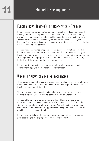

### Funding your Trainee's or Apprentice's Training

In many cases, the Tasmanian Government, through Skills Tasmania, funds the training your trainee or apprentice will undertake. Priorities for State funding are set each year, according to the identified need for skills in the State. Skills Tasmania usually provides funds only for training new employees in your business. Payment for training goes directly to the registered training organisation named in your training contract.

You can take on a trainee or apprentice in a qualification that is not funded by the State Government, but you will need to make arrangements to pay for training and assessment services provided by the registered training organisation. Your registered training organisation should advise you of any fees or charges that will apply to you or your trainee or apprentice.

Before you sign a training contract you should be clear on what financial arrangements apply to the traineeship or apprenticeship.

### Wages of your trainee or apprentice

The wages payable to trainees and apprentices are often lower than a full wage rate in recognition of the time the trainee or apprentice spends in structured training both on and off-the-job.

The employment conditions of existing full-time or part-time workers who undertake training under a training contract should be unchanged.

You can obtain information on employment conditions and rates of pay for industrial awards by contacting Fair Work Ombudsman on 13 13 94 or by visiting their website at www.fairwork.gov.au. You will need to provide them with details of the traineeship or apprenticeship being undertaken such as the qualification and nominal duration.

It is your responsibility as the employer to ensure your trainee or apprentice is paid according to the appropriate industrial arrangement.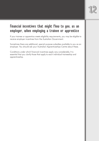

### Financial incentives that might flow to you, as an employer, when employing a trainee or apprentice

If your trainee or apprentice meets eligibility requirements, you may be eligible to receive employer incentives from the Australian Government.

Sometimes there are additional, special purpose subsidies available to you as an employer. You should ask your Australian Apprenticeships Centre about these.

Conditions under which financial incentives apply vary considerably. It is essential that you clarify those that apply to each individual traineeship and apprenticeship.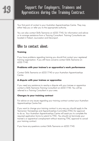

### Support for Employers, Trainees and Apprentices during the Training Contract

Your first point of contact is your Australian Apprenticeships Centre. They may either help you or refer you to the appropriate authority.

You can also contact Skills Tasmania on 6233 7740, for information and advice or to arrange assistance from a Training Consultant. Training Consultants are located in Hobart, Launceston and Devonport.

### Who to contact about:

### **Training**

If you have problems regarding training you should first contact your registered training organisation. If you still have concerns contact Skills Tasmania on 6233 7740.

#### **Problems with your trainee's or apprentice's work performance**

Contact Skills Tasmania on 6233 7740 or your Australian Apprenticeships Centre.

#### **A dispute with your trainee or apprentice**

If you need any assistance to resolve a dispute with your trainee or apprentice contact a Skills Tasmania Training Consultant on 6233 7740. You will be referred to a Training Consultant in your area.

#### **Changes to your training contract**

For advice on any issues regarding your training contract contact your Australian Apprenticeships Centre first.

If you want to change your training contract in any way you should apply to the Tasmanian Traineeships and Apprenticeships Committee (TTAC) for approval to do so. Your Australian Apprenticeships Centre will assist you to complete the required application forms to submit to TTAC. You should not terminate your trainee's or apprentice's employment without receiving TTAC approval to cancel your training contract.

If you have any questions contact Skills Tasmania on 6233 7740.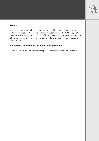

#### **Wages**

You can obtain information on employment conditions and rates of pay for industrial awards by phoning Fair Work Ombudsman on 13 13 94 or by visiting their website at www.fairwork.gov.au. YYou will need to provide them with details of the traineeship or apprenticeship being undertaken such as the qualification and nominal duration.

#### **Australian Government incentives and payments**

Contact your Australian Apprenticeships Centre for information and eligibility.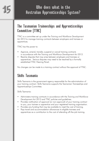

### Who does what in the Australian Apprenticeships System?

### The Tasmanian Traineeships and Apprenticeships Committee (TTAC)

TTAC is a committee set up under the *Training and Workforce Development Act 2013* to manage training contracts between employers and trainees or apprentices.

TTAC has the power to:

- Approve, amend, transfer, suspend or cancel training contracts in accordance with the *Training and Workforce Development Act 2013*.
- Resolve disputes that may arise between employers and trainees or apprentices. Serious disputes may need to be resolved by a formally established TTAC Hearing Panel.

No changes can be made to a training contract without the approval of TTAC.

### Skills Tasmania

Skills Tasmania is the government agency responsible for the administration of your training contract. Skills Tasmania supports the Tasmanian Traineeships and Apprenticeships Committee.

Skills Tasmania:

- Administers training contracts in accordance with the *Training and Workforce Development Act 2013* and TTAC policies and guidelines.
- Provides notification of approval (or non-approval) of your training contract to you, your trainee or apprentice and your registered training organisation.
- Provides any funding that may be available to meet the cost of training.
- Pays travel and accommodation allowances to eligible trainees and apprentices as a contribution to the cost of attending off-the-job training.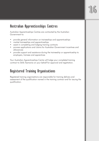

### Australian Apprenticeships Centres

Australian Apprenticeships Centres are contracted by the Australian Government to:

- provide general information on traineeships and apprenticeships
- market traineeships and apprenticeships
- assist in completing and lodging training contracts
- process applications and claims for Australian Government incentives and allowances
- provide support and assistance during the traineeship or apprenticeship to employers, trainees and apprentices

Your Australian Apprenticeships Centre will lodge your completed training contract to Skills Tasmania on your behalf for approval and registration.

### Registered Training Organisations

Registered training organisations are responsible for training delivery and assessment of the qualification named in the training contract and for issuing the qualification.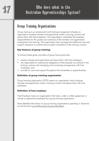

### Who does what in the Australian Apprenticeships System?

### Group Training Organisations

Group training is an employment and training arrangement whereby an organisation employs trainees and apprentices under a training contract and places them with host employers. The organisation undertakes the employer responsibilities for the quality and continuity of the trainees' and apprentices' employment and training. The organisation also manages the additional care and support necessary to achieve the successful completion of the training contract.

#### **Key features of group training:**

To achieve these goals, providers of group training services:

- employ trainees and apprentices and place them with host employers;
- are responsible for meeting the obligations of the employer as outlined in the training contract and managing and monitoring arrangements with host employers; and
- provide for care and support throughout the traineeship or apprenticeship.

#### **Definition of group training organisation**

Group training organisation (GTO) means an organisation which employs trainees and apprentices under a training contract and places them with host employers.

#### **Definition of host employer**

Host Employer means an organisation that hosts, under a written agreement, a trainee or apprentice employed by a group training organisation.

More detailed information on group training organisations operating in Tasmania can be found at www.skills.tas.gov.au/providers/gtos.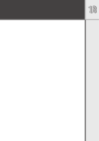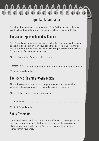

### Important Contacts

You should be aware of who to contact. Your Australian Apprenticeships Centre should be able to give you contact details for each of these.

### Australian Apprenticeships Centre

Your Australian Apprenticeships Centre will lodge the completed training contract to Skills Tasmania on your behalf for approval and registration. Your Australian Apprenticeships Centre will also process your application for Australian Government incentives.

Name of Australian Apprenticeships Centre:

Contact Name:

Contact Phone Number: Contact Phone Number:

### Registered Training Organisation

This is the organisation that you and your trainee or apprentice has selected to be responsible for training delivery and assessment.

Name of Registered Training Organisation:

Contact Name: Contact Phone Number:

### Skills Tasmania

If you need assistance to resolve a dispute with your trainee/apprentice or have any problems with the traineeship or apprenticeship contact Skills Tasmania on 6233 7740. You will be referred to a Training Consultant in your area.